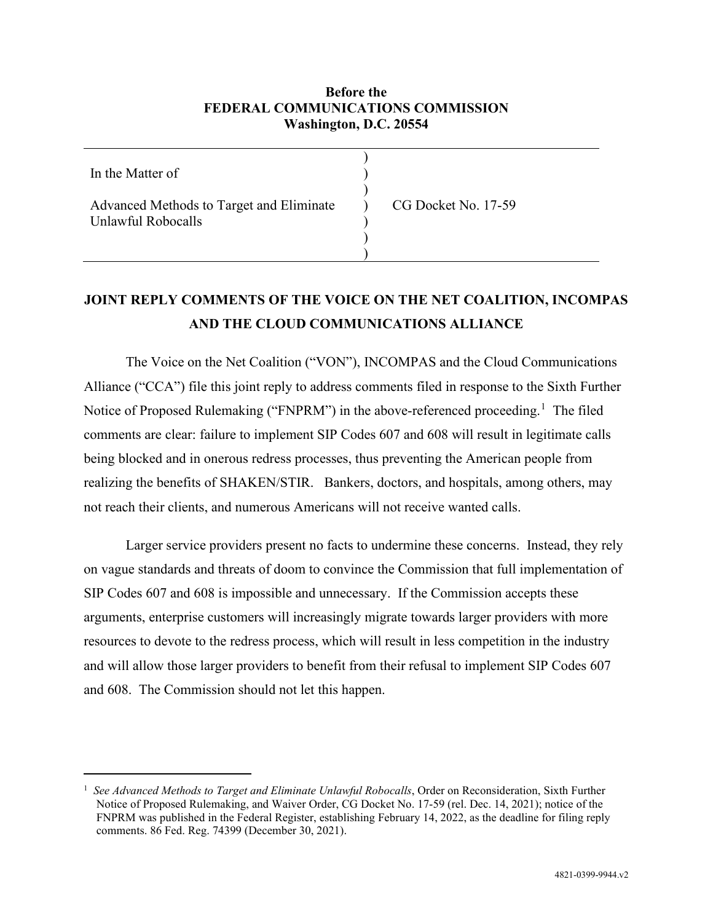### **Before the FEDERAL COMMUNICATIONS COMMISSION Washington, D.C. 20554**

| In the Matter of                                               |                     |
|----------------------------------------------------------------|---------------------|
| Advanced Methods to Target and Eliminate<br>Unlawful Robocalls | CG Docket No. 17-59 |
|                                                                |                     |

## **JOINT REPLY COMMENTS OF THE VOICE ON THE NET COALITION, INCOMPAS AND THE CLOUD COMMUNICATIONS ALLIANCE**

The Voice on the Net Coalition ("VON"), INCOMPAS and the Cloud Communications Alliance ("CCA") file this joint reply to address comments filed in response to the Sixth Further Notice of Proposed Rulemaking ("FNPRM") in the above-referenced proceeding.<sup>[1](#page-0-0)</sup> The filed comments are clear: failure to implement SIP Codes 607 and 608 will result in legitimate calls being blocked and in onerous redress processes, thus preventing the American people from realizing the benefits of SHAKEN/STIR. Bankers, doctors, and hospitals, among others, may not reach their clients, and numerous Americans will not receive wanted calls.

Larger service providers present no facts to undermine these concerns. Instead, they rely on vague standards and threats of doom to convince the Commission that full implementation of SIP Codes 607 and 608 is impossible and unnecessary. If the Commission accepts these arguments, enterprise customers will increasingly migrate towards larger providers with more resources to devote to the redress process, which will result in less competition in the industry and will allow those larger providers to benefit from their refusal to implement SIP Codes 607 and 608. The Commission should not let this happen.

<span id="page-0-0"></span><sup>1</sup> *See Advanced Methods to Target and Eliminate Unlawful Robocalls*, Order on Reconsideration, Sixth Further Notice of Proposed Rulemaking, and Waiver Order, CG Docket No. 17-59 (rel. Dec. 14, 2021); notice of the FNPRM was published in the Federal Register, establishing February 14, 2022, as the deadline for filing reply comments. 86 Fed. Reg. 74399 (December 30, 2021).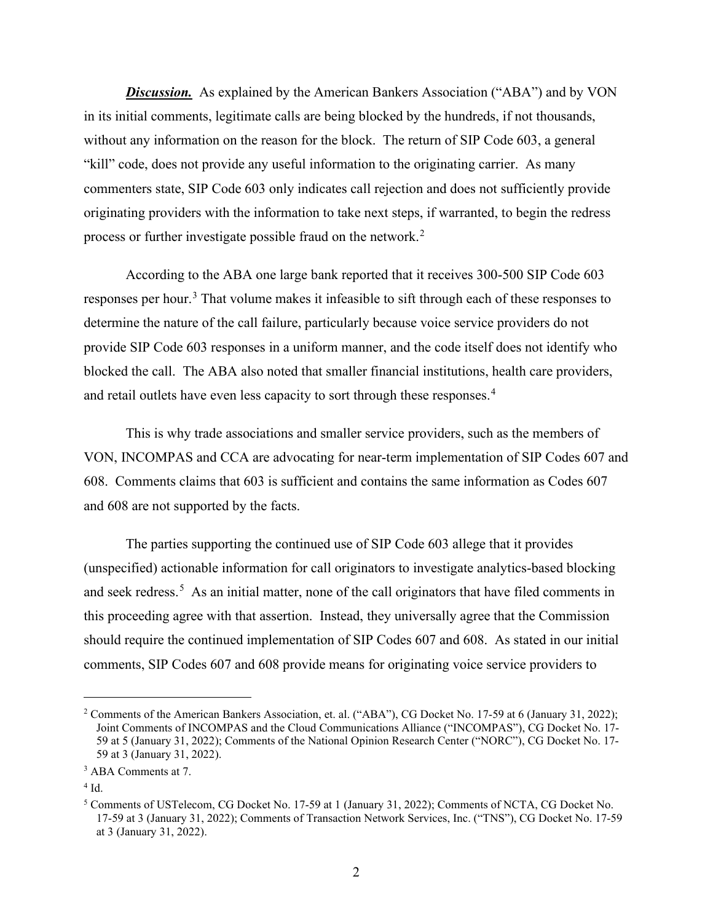*Discussion.* As explained by the American Bankers Association ("ABA") and by VON in its initial comments, legitimate calls are being blocked by the hundreds, if not thousands, without any information on the reason for the block. The return of SIP Code 603, a general "kill" code, does not provide any useful information to the originating carrier. As many commenters state, SIP Code 603 only indicates call rejection and does not sufficiently provide originating providers with the information to take next steps, if warranted, to begin the redress process or further investigate possible fraud on the network.<sup>[2](#page-1-0)</sup>

According to the ABA one large bank reported that it receives 300-500 SIP Code 603 responses per hour.<sup>[3](#page-1-1)</sup> That volume makes it infeasible to sift through each of these responses to determine the nature of the call failure, particularly because voice service providers do not provide SIP Code 603 responses in a uniform manner, and the code itself does not identify who blocked the call. The ABA also noted that smaller financial institutions, health care providers, and retail outlets have even less capacity to sort through these responses.<sup>[4](#page-1-2)</sup>

This is why trade associations and smaller service providers, such as the members of VON, INCOMPAS and CCA are advocating for near-term implementation of SIP Codes 607 and 608. Comments claims that 603 is sufficient and contains the same information as Codes 607 and 608 are not supported by the facts.

The parties supporting the continued use of SIP Code 603 allege that it provides (unspecified) actionable information for call originators to investigate analytics-based blocking and seek redress.<sup>[5](#page-1-3)</sup> As an initial matter, none of the call originators that have filed comments in this proceeding agree with that assertion. Instead, they universally agree that the Commission should require the continued implementation of SIP Codes 607 and 608. As stated in our initial comments, SIP Codes 607 and 608 provide means for originating voice service providers to

<span id="page-1-0"></span><sup>2</sup> Comments of the American Bankers Association, et. al. ("ABA"), CG Docket No. 17-59 at 6 (January 31, 2022); Joint Comments of INCOMPAS and the Cloud Communications Alliance ("INCOMPAS"), CG Docket No. 17- 59 at 5 (January 31, 2022); Comments of the National Opinion Research Center ("NORC"), CG Docket No. 17- 59 at 3 (January 31, 2022).

<span id="page-1-1"></span><sup>&</sup>lt;sup>3</sup> ABA Comments at 7.

<span id="page-1-2"></span> $^4$  Id.  $\,$ 

<span id="page-1-3"></span><sup>5</sup> Comments of USTelecom, CG Docket No. 17-59 at 1 (January 31, 2022); Comments of NCTA, CG Docket No. 17-59 at 3 (January 31, 2022); Comments of Transaction Network Services, Inc. ("TNS"), CG Docket No. 17-59 at 3 (January 31, 2022).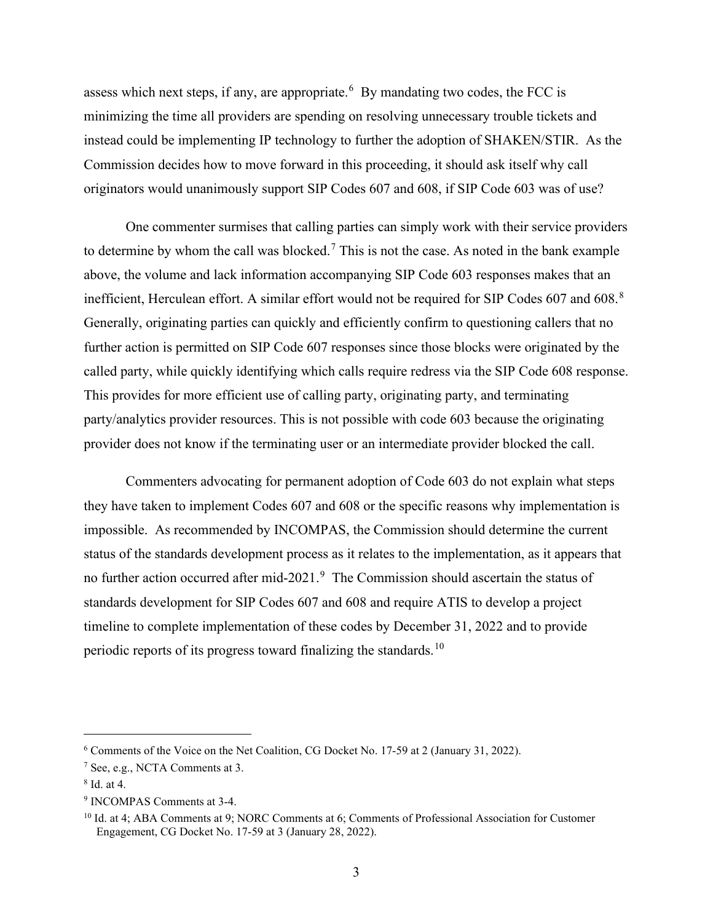assess which next steps, if any, are appropriate.<sup>[6](#page-2-0)</sup> By mandating two codes, the FCC is minimizing the time all providers are spending on resolving unnecessary trouble tickets and instead could be implementing IP technology to further the adoption of SHAKEN/STIR. As the Commission decides how to move forward in this proceeding, it should ask itself why call originators would unanimously support SIP Codes 607 and 608, if SIP Code 603 was of use?

One commenter surmises that calling parties can simply work with their service providers to determine by whom the call was blocked.<sup>[7](#page-2-1)</sup> This is not the case. As noted in the bank example above, the volume and lack information accompanying SIP Code 603 responses makes that an inefficient, Herculean effort. A similar effort would not be required for SIP Codes 607 and 60[8](#page-2-2).<sup>8</sup> Generally, originating parties can quickly and efficiently confirm to questioning callers that no further action is permitted on SIP Code 607 responses since those blocks were originated by the called party, while quickly identifying which calls require redress via the SIP Code 608 response. This provides for more efficient use of calling party, originating party, and terminating party/analytics provider resources. This is not possible with code 603 because the originating provider does not know if the terminating user or an intermediate provider blocked the call.

Commenters advocating for permanent adoption of Code 603 do not explain what steps they have taken to implement Codes 607 and 608 or the specific reasons why implementation is impossible. As recommended by INCOMPAS, the Commission should determine the current status of the standards development process as it relates to the implementation, as it appears that no further action occurred after mid-2021.<sup>[9](#page-2-3)</sup> The Commission should ascertain the status of standards development for SIP Codes 607 and 608 and require ATIS to develop a project timeline to complete implementation of these codes by December 31, 2022 and to provide periodic reports of its progress toward finalizing the standards.[10](#page-2-4)

<span id="page-2-0"></span><sup>6</sup> Comments of the Voice on the Net Coalition, CG Docket No. 17-59 at 2 (January 31, 2022).

<span id="page-2-1"></span> $<sup>7</sup>$  See, e.g., NCTA Comments at 3.</sup>

<span id="page-2-2"></span><sup>8</sup> Id. at 4.

<span id="page-2-3"></span><sup>9</sup> INCOMPAS Comments at 3-4.

<span id="page-2-4"></span><sup>&</sup>lt;sup>10</sup> Id. at 4; ABA Comments at 9; NORC Comments at 6; Comments of Professional Association for Customer Engagement, CG Docket No. 17-59 at 3 (January 28, 2022).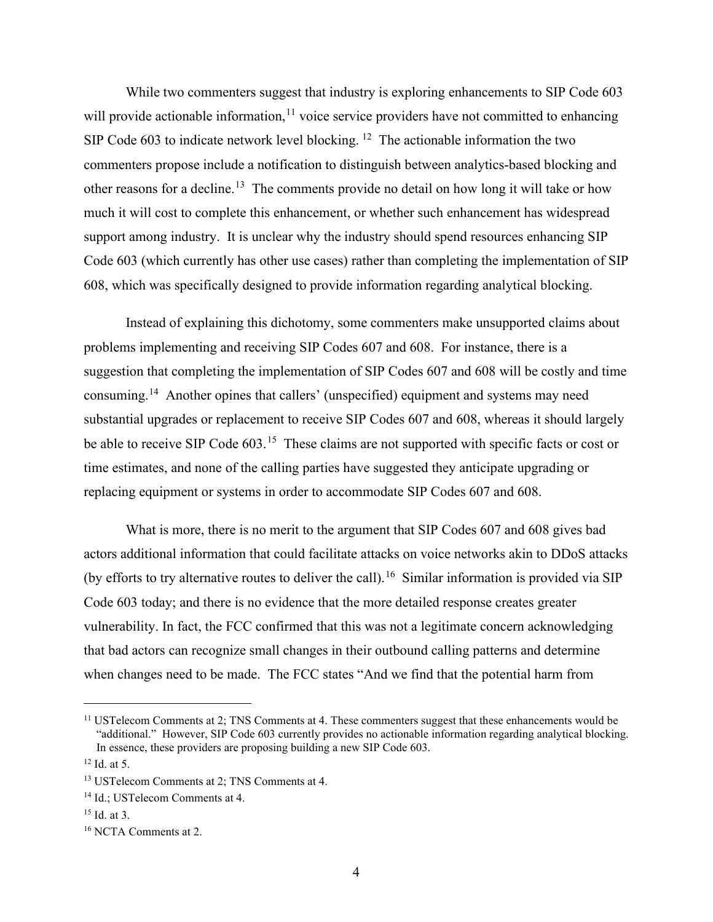While two commenters suggest that industry is exploring enhancements to SIP Code 603 will provide actionable information,  $11$  voice service providers have not committed to enhancing SIP Code 603 to indicate network level blocking. <sup>[12](#page-3-1)</sup> The actionable information the two commenters propose include a notification to distinguish between analytics-based blocking and other reasons for a decline.<sup>[13](#page-3-2)</sup> The comments provide no detail on how long it will take or how much it will cost to complete this enhancement, or whether such enhancement has widespread support among industry. It is unclear why the industry should spend resources enhancing SIP Code 603 (which currently has other use cases) rather than completing the implementation of SIP 608, which was specifically designed to provide information regarding analytical blocking.

Instead of explaining this dichotomy, some commenters make unsupported claims about problems implementing and receiving SIP Codes 607 and 608. For instance, there is a suggestion that completing the implementation of SIP Codes 607 and 608 will be costly and time consuming.[14](#page-3-3) Another opines that callers' (unspecified) equipment and systems may need substantial upgrades or replacement to receive SIP Codes 607 and 608, whereas it should largely be able to receive SIP Code 603.<sup>15</sup> These claims are not supported with specific facts or cost or time estimates, and none of the calling parties have suggested they anticipate upgrading or replacing equipment or systems in order to accommodate SIP Codes 607 and 608.

What is more, there is no merit to the argument that SIP Codes 607 and 608 gives bad actors additional information that could facilitate attacks on voice networks akin to DDoS attacks (by efforts to try alternative routes to deliver the call).<sup>[16](#page-3-5)</sup> Similar information is provided via SIP Code 603 today; and there is no evidence that the more detailed response creates greater vulnerability. In fact, the FCC confirmed that this was not a legitimate concern acknowledging that bad actors can recognize small changes in their outbound calling patterns and determine when changes need to be made. The FCC states "And we find that the potential harm from

<span id="page-3-0"></span><sup>&</sup>lt;sup>11</sup> USTelecom Comments at 2; TNS Comments at 4. These commenters suggest that these enhancements would be "additional." However, SIP Code 603 currently provides no actionable information regarding analytical blocking. In essence, these providers are proposing building a new SIP Code 603.

<span id="page-3-1"></span> $12$  Id. at 5.

<span id="page-3-2"></span><sup>13</sup> USTelecom Comments at 2; TNS Comments at 4.

<span id="page-3-3"></span><sup>&</sup>lt;sup>14</sup> Id.; USTelecom Comments at 4.

<span id="page-3-4"></span> $15$  Id. at 3.

<span id="page-3-5"></span><sup>16</sup> NCTA Comments at 2.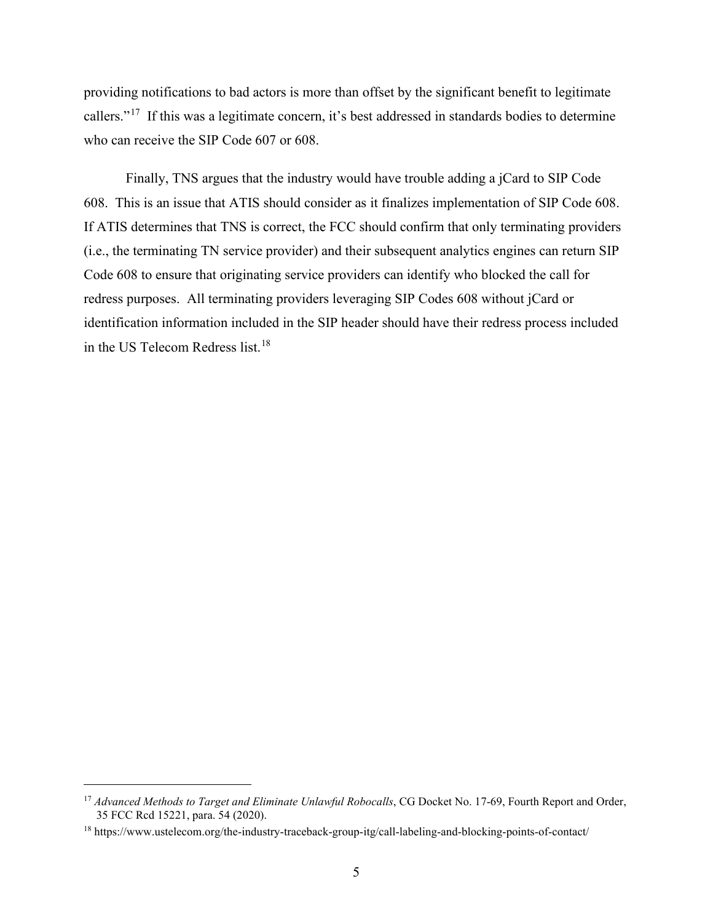providing notifications to bad actors is more than offset by the significant benefit to legitimate callers."[17](#page-4-0) If this was a legitimate concern, it's best addressed in standards bodies to determine who can receive the SIP Code 607 or 608.

Finally, TNS argues that the industry would have trouble adding a jCard to SIP Code 608. This is an issue that ATIS should consider as it finalizes implementation of SIP Code 608. If ATIS determines that TNS is correct, the FCC should confirm that only terminating providers (i.e., the terminating TN service provider) and their subsequent analytics engines can return SIP Code 608 to ensure that originating service providers can identify who blocked the call for redress purposes. All terminating providers leveraging SIP Codes 608 without jCard or identification information included in the SIP header should have their redress process included in the US Telecom Redress list.<sup>18</sup>

<span id="page-4-0"></span><sup>&</sup>lt;sup>17</sup> Advanced Methods to Target and Eliminate Unlawful Robocalls, CG Docket No. 17-69, Fourth Report and Order, 35 FCC Rcd 15221, para. 54 (2020).

<span id="page-4-1"></span><sup>18</sup> https://www.ustelecom.org/the-industry-traceback-group-itg/call-labeling-and-blocking-points-of-contact/